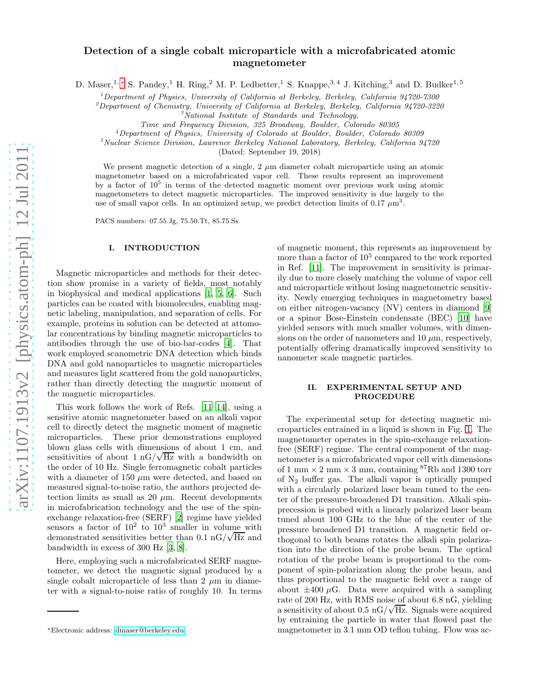# Detection of a single cobalt microparticle with a microfabricated atomic magnetometer

D. Maser,<sup>1, \*</sup> S. Pandey,<sup>1</sup> H. Ring,<sup>2</sup> M. P. Ledbetter,<sup>1</sup> S. Knappe,<sup>3,4</sup> J. Kitching,<sup>3</sup> and D. Budker<sup>1,5</sup>

<sup>1</sup>Department of Physics, University of California at Berkeley, Berkeley, California 94720-7300

<sup>2</sup>Department of Chemistry, University of California at Berkeley, Berkeley, California 94720-3220

Time and Frequency Division, 325 Broadway, Boulder, Colorado 80305

<sup>4</sup>Department of Physics, University of Colorado at Boulder, Boulder, Colorado 80309

 $5$ Nuclear Science Division, Lawrence Berkeley National Laboratory, Berkeley, California 94720

(Dated: September 19, 2018)

We present magnetic detection of a single,  $2 \mu m$  diameter cobalt microparticle using an atomic magnetometer based on a microfabricated vapor cell. These results represent an improvement by a factor of  $10^5$  in terms of the detected magnetic moment over previous work using atomic magnetometers to detect magnetic microparticles. The improved sensitivity is due largely to the use of small vapor cells. In an optimized setup, we predict detection limits of 0.17  $\mu$ m<sup>3</sup>.

PACS numbers: 07.55.Jg, 75.50.Tt, 85.75.Ss

# I. INTRODUCTION

Magnetic microparticles and methods for their detection show promise in a variety of fields, most notably in biophysical and medical applications [\[1](#page-2-0), [5](#page-2-1), [6](#page-2-2)]. Such particles can be coated with biomolecules, enabling magnetic labeling, manipulation, and separation of cells. For example, proteins in solution can be detected at attomolar concentrations by binding magnetic microparticles to antibodies through the use of bio-bar-codes [\[4](#page-2-3)]. That work employed scanometric DNA detection which binds DNA and gold nanoparticles to magnetic microparticles and measures light scattered from the gold nanoparticles, rather than directly detecting the magnetic moment of the magnetic microparticles.

This work follows the work of Refs. [\[11](#page-2-4)[–14\]](#page-2-5), using a sensitive atomic magnetometer based on an alkali vapor cell to directly detect the magnetic moment of magnetic microparticles. These prior demonstrations employed blown glass cells with dimensions of about 1 cm, and sensitivities of about  $1 \text{ nG}/\sqrt{\text{Hz}}$  with a bandwidth on the order of 10 Hz. Single ferromagnetic cobalt particles with a diameter of 150  $\mu$ m were detected, and based on measured signal-to-noise ratio, the authors projected detection limits as small as 20  $\mu$ m. Recent developments in microfabrication technology and the use of the spinexchange relaxation-free (SERF) [\[2](#page-2-6)] regime have yielded sensors a factor of  $10^2$  to  $10^3$  smaller in volume with demonstrated sensitivities better than  $0.1 \text{ nG}/\sqrt{\text{Hz}}$  and bandwidth in excess of 300 Hz [\[3,](#page-2-7) [8\]](#page-2-8).

Here, employing such a microfabricated SERF magnetometer, we detect the magnetic signal produced by a single cobalt microparticle of less than 2  $\mu$ m in diameter with a signal-to-noise ratio of roughly 10. In terms of magnetic moment, this represents an improvement by more than a factor of  $10^5$  compared to the work reported in Ref. [\[11\]](#page-2-4). The improvement in sensitivity is primarily due to more closely matching the volume of vapor cell and microparticle without losing magnetometric sensitivity. Newly emerging techniques in magnetometry based on either nitrogen-vacancy (NV) centers in diamond [\[9](#page-2-9)] or a spinor Bose-Einstein condensate (BEC) [\[10\]](#page-2-10) have yielded sensors with much smaller volumes, with dimensions on the order of nanometers and  $10 \mu m$ , respectively, potentially offering dramatically improved sensitivity to nanometer scale magnetic particles.

### II. EXPERIMENTAL SETUP AND PROCEDURE

The experimental setup for detecting magnetic microparticles entrained in a liquid is shown in Fig. [1.](#page-1-0) The magnetometer operates in the spin-exchange relaxationfree (SERF) regime. The central component of the magnetometer is a microfabricated vapor cell with dimensions of 1 mm  $\times$  2 mm  $\times$  3 mm, containing  $^{87}\mathrm{Rb}$  and 1300 torr of  $N_2$  buffer gas. The alkali vapor is optically pumped with a circularly polarized laser beam tuned to the center of the pressure-broadened D1 transition. Alkali spinprecession is probed with a linearly polarized laser beam tuned about 100 GHz to the blue of the center of the pressure broadened D1 transition. A magnetic field orthogonal to both beams rotates the alkali spin polarization into the direction of the probe beam. The optical rotation of the probe beam is proportional to the component of spin-polarization along the probe beam, and thus proportional to the magnetic field over a range of about  $\pm 400 \mu$ G. Data were acquired with a sampling rate of 200 Hz, with RMS noise of about 6.8 nG, yielding a sensitivity of about  $0.5 \text{ nG}/\sqrt{\text{Hz}}$ . Signals were acquired by entraining the particle in water that flowed past the magnetometer in 3.1 mm OD teflon tubing. Flow was ac-

 $3$ National Institute of Standards and Technology,

<span id="page-0-0"></span><sup>∗</sup>Electronic address: [dmaser@berkeley.edu](mailto:dmaser@berkeley.edu)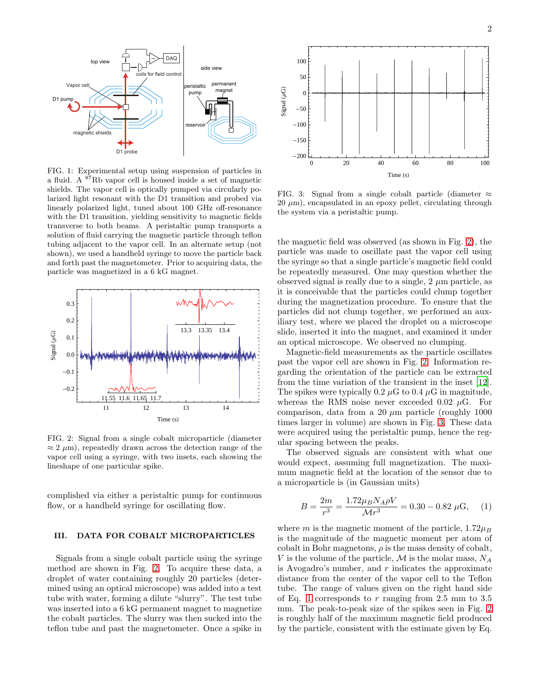

<span id="page-1-0"></span>FIG. 1: Experimental setup using suspension of particles in a fluid. A <sup>87</sup>Rb vapor cell is housed inside a set of magnetic shields. The vapor cell is optically pumped via circularly polarized light resonant with the D1 transition and probed via linearly polarized light, tuned about 100 GHz off-resonance with the D1 transition, yielding sensitivity to magnetic fields transverse to both beams. A peristaltic pump transports a solution of fluid carrying the magnetic particle through teflon tubing adjacent to the vapor cell. In an alternate setup (not shown), we used a handheld syringe to move the particle back and forth past the magnetometer. Prior to acquiring data, the particle was magnetized in a 6 kG magnet.



<span id="page-1-1"></span>FIG. 2: Signal from a single cobalt microparticle (diameter  $\approx 2 \mu$ m), repeatedly drawn across the detection range of the vapor cell using a syringe, with two insets, each showing the lineshape of one particular spike.

complished via either a peristaltic pump for continuous flow, or a handheld syringe for oscillating flow.

## III. DATA FOR COBALT MICROPARTICLES

Signals from a single cobalt particle using the syringe method are shown in Fig. [2.](#page-1-1) To acquire these data, a droplet of water containing roughly 20 particles (determined using an optical microscope) was added into a test tube with water, forming a dilute "slurry". The test tube was inserted into a 6 kG permanent magnet to magnetize the cobalt particles. The slurry was then sucked into the teflon tube and past the magnetometer. Once a spike in



<span id="page-1-2"></span>FIG. 3: Signal from a single cobalt particle (diameter  $\approx$  $20 \mu m$ , encapsulated in an epoxy pellet, circulating through the system via a peristaltic pump.

the magnetic field was observed (as shown in Fig. [2\)](#page-1-1), the particle was made to oscillate past the vapor cell using the syringe so that a single particle's magnetic field could be repeatedly measured. One may question whether the observed signal is really due to a single,  $2 \mu m$  particle, as it is conceivable that the particles could clump together during the magnetization procedure. To ensure that the particles did not clump together, we performed an auxiliary test, where we placed the droplet on a microscope slide, inserted it into the magnet, and examined it under an optical microscope. We observed no clumping.

Magnetic-field measurements as the particle oscillates past the vapor cell are shown in Fig. [2.](#page-1-1) Information regarding the orientation of the particle can be extracted from the time variation of the transient in the inset [\[12\]](#page-2-11). The spikes were typically 0.2  $\mu$ G to 0.4  $\mu$ G in magnitude, whereas the RMS noise never exceeded 0.02  $\mu$ G. For comparison, data from a 20  $\mu$ m particle (roughly 1000) times larger in volume) are shown in Fig. [3.](#page-1-2) These data were acquired using the peristaltic pump, hence the regular spacing between the peaks.

The observed signals are consistent with what one would expect, assuming full magnetization. The maximum magnetic field at the location of the sensor due to a microparticle is (in Gaussian units)

<span id="page-1-3"></span>
$$
B = \frac{2m}{r^3} = \frac{1.72\mu_B N_A \rho V}{\mathcal{M}r^3} = 0.30 - 0.82 \mu \text{G}, \quad (1)
$$

where m is the magnetic moment of the particle,  $1.72\mu_B$ is the magnitude of the magnetic moment per atom of cobalt in Bohr magnetons,  $\rho$  is the mass density of cobalt, V is the volume of the particle,  $\mathcal M$  is the molar mass,  $N_A$ is Avogadro's number, and  $r$  indicates the approximate distance from the center of the vapor cell to the Teflon tube. The range of values given on the right hand side of Eq. [1](#page-1-3) corresponds to r ranging from 2.5 mm to 3.5 mm. The peak-to-peak size of the spikes seen in Fig. [2](#page-1-1) is roughly half of the maximum magnetic field produced by the particle, consistent with the estimate given by Eq.